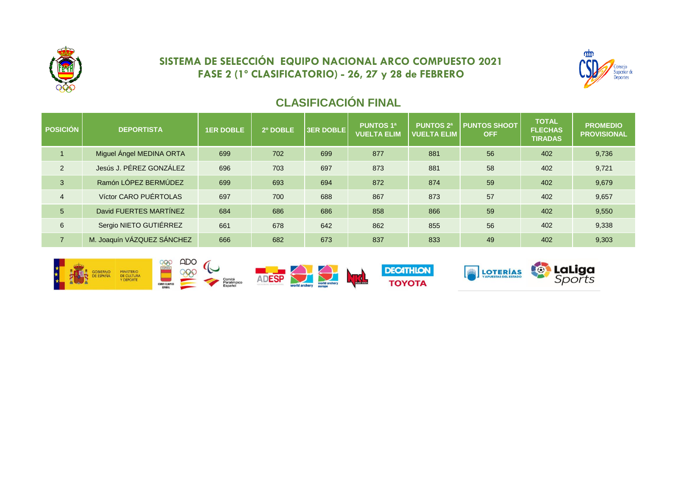

## **SISTEMA DE SELECCIÓN EQUIPO NACIONAL ARCO COMPUESTO 2021 FASE 2 (1º CLASIFICATORIO) - 26, 27 y 28 de FEBRERO**



# **CLASIFICACIÓN FINAL**

| <b>POSICIÓN</b> | <b>DEPORTISTA</b>          | <b>1ER DOBLE</b> | 2º DOBLE | <b>3ER DOBLE</b> | <b>PUNTOS 1ª</b><br><b>VUELTA ELIM</b> | <b>PUNTOS 2ª</b><br><b>VUELTA ELIM</b> | <b>PUNTOS SHOOT</b><br><b>OFF</b> | <b>TOTAL</b><br><b>FLECHAS</b><br><b>TIRADAS</b> | <b>PROMEDIO</b><br><b>PROVISIONAL</b> |
|-----------------|----------------------------|------------------|----------|------------------|----------------------------------------|----------------------------------------|-----------------------------------|--------------------------------------------------|---------------------------------------|
|                 | Miguel Ángel MEDINA ORTA   | 699              | 702      | 699              | 877                                    | 881                                    | 56                                | 402                                              | 9,736                                 |
| 2               | Jesús J. PÉREZ GONZÁLEZ    | 696              | 703      | 697              | 873                                    | 881                                    | 58                                | 402                                              | 9,721                                 |
| 3               | Ramón LÓPEZ BERMÚDEZ       | 699              | 693      | 694              | 872                                    | 874                                    | 59                                | 402                                              | 9,679                                 |
| $\overline{4}$  | Víctor CARO PUÉRTOLAS      | 697              | 700      | 688              | 867                                    | 873                                    | 57                                | 402                                              | 9,657                                 |
| 5               | David FUERTES MARTÍNEZ     | 684              | 686      | 686              | 858                                    | 866                                    | 59                                | 402                                              | 9,550                                 |
| 6               | Sergio NIETO GUTIÉRREZ     | 661              | 678      | 642              | 862                                    | 855                                    | 56                                | 402                                              | 9,338                                 |
| $\overline{7}$  | M. Joaquín VÁZQUEZ SÁNCHEZ | 666              | 682      | 673              | 837                                    | 833                                    | 49                                | 402                                              | 9,303                                 |

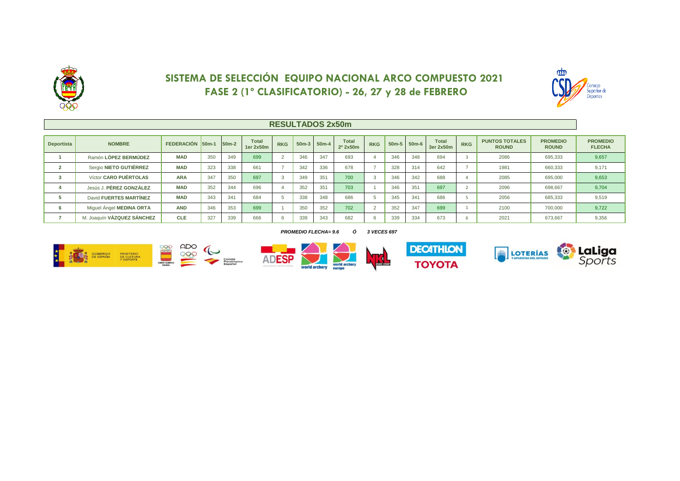

## **SISTEMA DE SELECCIÓN EQUIPO NACIONAL ARCO COMPUESTO 2021 FASE 2 (1º CLASIFICATORIO) - 26, 27 y 28 de FEBRERO**



### **RESULTADOS 2x50m**

| <b>Deportista</b> | <b>NOMBRE</b>              | FEDERACIÓN 50m-1 |     | 50 <sub>m</sub> -2 | <b>Total</b><br>1er 2x50m | <b>RKG</b> | $50m-3$ | $50m-4$ | <b>Total</b><br>2º 2x50m | <b>RKG</b> | $50m-5$ | $50m-6$ | <b>Total</b><br>3er 2x50m | <b>RKG</b> | <b>PUNTOS TOTALES</b><br><b>ROUND</b> | <b>PROMEDIO</b><br><b>ROUND</b> | <b>PROMEDIO</b><br><b>FLECHA</b> |
|-------------------|----------------------------|------------------|-----|--------------------|---------------------------|------------|---------|---------|--------------------------|------------|---------|---------|---------------------------|------------|---------------------------------------|---------------------------------|----------------------------------|
|                   | Ramón LÓPEZ BERMÚDEZ       | <b>MAD</b>       | 350 | 349                | 699                       |            | 346     | 347     | 693                      |            | 346     | 348     | 694                       |            | 2086                                  | 695,333                         | 9,657                            |
|                   | Sergio NIETO GUTIÉRREZ     | <b>MAD</b>       | 323 | 338                | 661                       |            | 342     | 336     | 678                      |            | 328     | 314     | 642                       |            | 1981                                  | 660,333                         | 9,171                            |
|                   | Víctor CARO PUÉRTOLAS      | <b>ARA</b>       | 347 | 350                | 697                       |            | 349     | 351     | 700                      |            | 346     | 342     | 688                       |            | 2085                                  | 695,000                         | 9,653                            |
|                   | Jesús J. PÉREZ GONZÁLEZ    | <b>MAD</b>       | 352 | 344                | 696                       |            | 352     | 351     | 703                      |            | 346     | 351     | 697                       |            | 2096                                  | 698,667                         | 9,704                            |
|                   | David FUERTES MARTÍNEZ     | <b>MAD</b>       | 343 | 341                | 684                       |            | 338     | 348     | 686                      |            | 345     | 341     | 686                       |            | 2056                                  | 685,333                         | 9,519                            |
|                   | Miquel Angel MEDINA ORTA   | <b>AND</b>       | 346 | 353                | 699                       |            | 350     | 352     | 702                      |            | 352     | 347     | 699                       |            | 2100                                  | 700,000                         | 9,722                            |
|                   | M. Joaquín VÁZQUEZ SÁNCHEZ | <b>CLE</b>       | 327 | 339                | 666                       |            | 339     | 343     | 682                      |            | 339     | 334     | 673                       |            | 2021                                  | 673,667                         | 9,356                            |

#### *PROMEDIO FLECHA= 9.6 Ó 3 VECES 697*









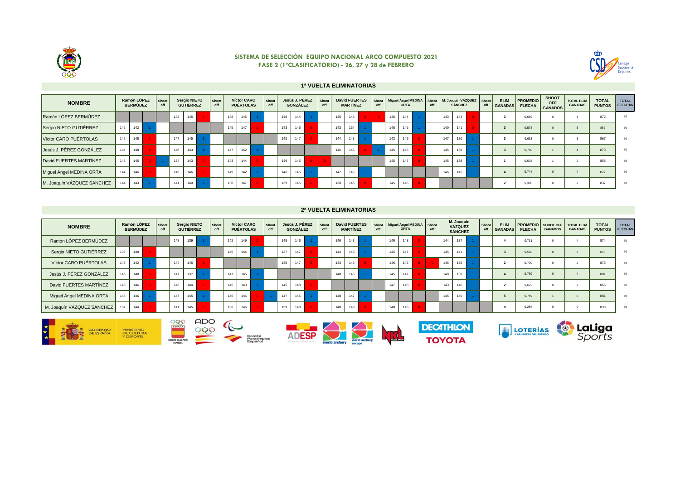

#### **SISTEMA DE SELECCIÓN EQUIPO NACIONAL ARCO COMPUESTO 2021 FASE 2 (1ºCLASIFICATORIO) - 26, 27 y 28 de FEBRERO**



#### **1ª VUELTA ELIMINATORIAS**

| <b>NOMBRE</b>              |     | Ramón LÓPEZ<br><b>BERMÚDEZ</b> | Shoot<br>off |     | Sergio NIETO<br><b>GUTIÉRREZ</b> | Shoot<br>off |     | Víctor CARO<br><b>PUÉRTOLAS</b> | Shoot<br>off |     | Jesús J. PÉREZ<br><b>GONZÁLEZ</b> |          | Shoot<br>off |     | <b>David FUERTES</b><br><b>MARTÍNEZ</b> | off | Shoot   Miguel Angel MEDINA | <b>ORTA</b> | Shoot<br>off |     | <b>SÁNCHEZ</b> | M. Joaquín VÁZQUEZ | Shoot<br>off | <b>ELIM</b><br><b>GANADAS</b> | <b>PROMEDIO</b><br><b>FLECHA</b> | <b>SHOOT</b><br><b>OFF</b><br><b>GANADOS</b> | <b>TOTAL ELIM</b><br><b>GANADAS</b> | <b>TOTAL</b><br><b>PUNTOS</b> | <b>TOTAL</b><br><b>FLECHAS</b> |
|----------------------------|-----|--------------------------------|--------------|-----|----------------------------------|--------------|-----|---------------------------------|--------------|-----|-----------------------------------|----------|--------------|-----|-----------------------------------------|-----|-----------------------------|-------------|--------------|-----|----------------|--------------------|--------------|-------------------------------|----------------------------------|----------------------------------------------|-------------------------------------|-------------------------------|--------------------------------|
| Ramón LÓPEZ BERMÚDEZ       |     |                                |              | 142 | 145                              |              | 148 | 145                             |              | 148 | 144                               |          |              | 145 | 145                                     |     | 146                         | 144         |              | 143 | 144            |                    |              |                               | 9.689                            |                                              |                                     | 872                           | 90                             |
| Sergio NIETO GUTIÉRREZ     | 145 | 142                            |              |     |                                  |              | 145 | 147                             |              | 143 | 146                               |          |              | 143 | 134                                     |     | 146                         | 145         |              | 140 | 141            |                    |              |                               | 9.578                            |                                              |                                     | 862                           | 90                             |
| Víctor CARO PUÉRTOLAS      | 145 | 148                            |              | 147 | 145                              |              |     |                                 |              | 142 | 147                               |          |              | 144 | 143                                     |     | 142                         | 149         |              | 147 | 130            |                    |              |                               | 9.633                            |                                              |                                     | 867                           | 90                             |
| Jesús J. PÉREZ GONZÁLEZ    | 144 | 148                            |              | 146 | 143                              |              | 147 | 142                             |              |     |                                   |          |              | 146 | 146                                     |     | 145                         | 146         |              | 145 | 139            |                    |              |                               | 9.700                            |                                              |                                     | 873                           | 90                             |
| David FUERTES MARTÍNEZ     | 145 | 145                            |              | 134 | 143                              |              | 143 | 144                             |              | 146 | 146                               | $\Omega$ |              |     |                                         |     | 145                         | 147         |              | 145 | 138            |                    |              |                               | 9.533                            |                                              |                                     | 858                           | 90                             |
| Miguel Ángel MEDINA ORTA   | 144 | 146                            |              | 145 | 146                              |              | 149 | 142                             |              | 146 | 145                               |          |              | 147 | 145                                     |     |                             |             |              | 146 | 145            |                    |              |                               | 9.744                            |                                              |                                     | 877                           | 90                             |
| M. Joaquín VÁZQUEZ SÁNCHEZ | 144 | 143                            |              | 141 | 140                              |              | 130 | 147                             |              | 139 | 145                               |          |              | 138 | 145                                     |     | 145                         | 146         |              |     |                |                    |              |                               | 9,300                            |                                              |                                     | 837                           | 90                             |

#### **2ª VUELTA ELIMINATORIAS**

| <b>NOMBRE</b>              |     | Ramón LÓPEZ<br><b>BERMÚDEZ</b> | Shoot<br>off |     | <b>Sergio NIETO</b><br><b>GUTIÉRREZ</b> | Shoot<br>off |     | Víctor CARO<br><b>PUÉRTOLAS</b> | Shoot<br>off |     | <b>GONZÁLEZ</b> | Jesús J. PÉREZ | Shoot<br>off |     | <b>MARTÍNEZ</b> | <b>David FUERTES</b> | Shoot<br>off |     | <b>ORTA</b> | Miguel Angel MEDINA Shoot<br>off |     | M. Joaquín<br>VÁZQUEZ<br><b>SÁNCHEZ</b> | Shoot<br>off | <b>ELIM</b><br><b>GANADAS</b> | <b>PROMEDIO</b> SHOOT OFF<br><b>FLECHA</b> | <b>GANADOS</b> | <b>TOTAL ELIM</b><br><b>GANADAS</b> | <b>TOTAL</b><br><b>PUNTOS</b> | <b>TOTAL</b><br><b>FLECHAS</b> |
|----------------------------|-----|--------------------------------|--------------|-----|-----------------------------------------|--------------|-----|---------------------------------|--------------|-----|-----------------|----------------|--------------|-----|-----------------|----------------------|--------------|-----|-------------|----------------------------------|-----|-----------------------------------------|--------------|-------------------------------|--------------------------------------------|----------------|-------------------------------------|-------------------------------|--------------------------------|
| Ramón LÓPEZ BERMÚDEZ       |     |                                |              | 148 | 139                                     |              | 142 | 149                             |              | 148 | 146             |                |              | 146 |                 | 143                  |              | 146 | 148         |                                  | 144 | 137                                     |              |                               | 9.711                                      |                |                                     | 874                           | 90                             |
| Sergio NIETO GUTIÉRREZ     | 139 | 148                            |              |     |                                         |              | 145 | 144                             |              | 137 | 147             |                |              | 144 |                 | 143                  |              | 145 | 147         |                                  | 145 | 141                                     |              |                               | 9.500                                      |                |                                     | 855                           | 90                             |
| Víctor CARO PUÉRTOLAS      | 149 | 142                            |              | 144 | 145                                     |              |     |                                 |              | 145 | 147             |                |              | 143 |                 | 145                  |              | 146 | 146         |                                  | 146 | 136                                     |              |                               | 9.700                                      |                |                                     | 873                           | 90                             |
| Jesús J. PÉREZ GONZÁLEZ    | 146 | 148                            |              | 147 | 137                                     |              | 147 | 145                             |              |     |                 |                |              | 148 |                 | 145                  |              | 145 | 147         |                                  | 148 | 139                                     |              |                               | 9.789                                      |                |                                     | 881                           | 90                             |
| David FUERTES MARTÍNEZ     | 143 | 146                            |              | 143 | 144                                     |              | 145 | 143                             |              | 145 | 148             |                |              |     |                 |                      |              | 147 | 148         |                                  | 143 | 140                                     |              |                               | 9.622                                      |                |                                     | 866                           | 90                             |
| Miguel Ángel MEDINA ORTA   | 148 | 146                            |              | 147 | 145                                     |              | 146 | 146                             |              | 147 | 145             |                |              | 148 |                 | 147                  |              |     |             |                                  | 145 | 140                                     |              |                               | 9.789                                      |                |                                     | 881                           | 90                             |
| M. Joaquín VÁZQUEZ SÁNCHEZ | 137 | 144                            |              | 141 | 145                                     |              | 136 | 146                             |              | 139 | 148             |                |              | 140 |                 | 143                  |              | 140 | 145         |                                  |     |                                         |              |                               | 9.256                                      |                |                                     | 833                           | 90                             |